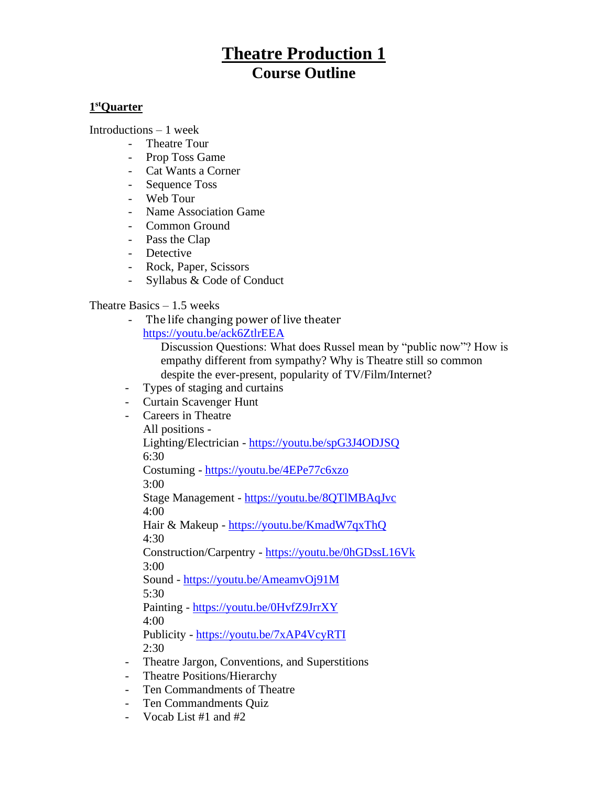# **Theatre Production 1 Course Outline**

## **1 stQuarter**

Introductions – 1 week

- Theatre Tour
- Prop Toss Game
- Cat Wants a Corner
- Sequence Toss
- Web Tour
- Name Association Game
- Common Ground
- Pass the Clap
- Detective
- Rock, Paper, Scissors
- Syllabus & Code of Conduct

# Theatre Basics  $-1.5$  weeks

The life changing power of live theater <https://youtu.be/ack6ZtlrEEA>

Discussion Questions: What does Russel mean by "public now"? How is empathy different from sympathy? Why is Theatre still so common despite the ever-present, popularity of TV/Film/Internet?

- Types of staging and curtains
- Curtain Scavenger Hunt
- Careers in Theatre

All positions -

Lighting/Electrician - <https://youtu.be/spG3J4ODJSQ> 6:30

Costuming - <https://youtu.be/4EPe77c6xzo>

3:00

Stage Management - <https://youtu.be/8QTlMBAqJvc> 4:00

Hair & Makeup - <https://youtu.be/KmadW7qxThQ> 4:30

Construction/Carpentry - <https://youtu.be/0hGDssL16Vk> 3:00

Sound - <https://youtu.be/AmeamvOj91M> 5:30

Painting - <https://youtu.be/0HvfZ9JrrXY> 4:00

Publicity - <https://youtu.be/7xAP4VcyRTI> 2:30

- Theatre Jargon, Conventions, and Superstitions
- Theatre Positions/Hierarchy
- Ten Commandments of Theatre
- Ten Commandments Quiz
- Vocab List #1 and #2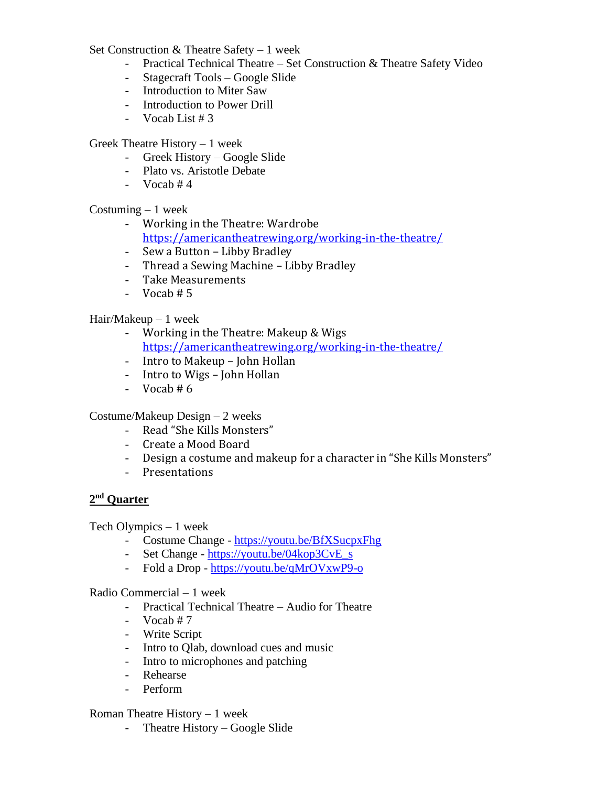Set Construction & Theatre Safety – 1 week

- Practical Technical Theatre Set Construction & Theatre Safety Video
- Stagecraft Tools Google Slide
- Introduction to Miter Saw
- Introduction to Power Drill
- $-$  Vocab List # 3

Greek Theatre History – 1 week

- Greek History Google Slide
- Plato vs. Aristotle Debate
- Vocab  $#4$

Costuming  $-1$  week

- Working in the Theatre: Wardrobe <https://americantheatrewing.org/working-in-the-theatre/>
- Sew a Button Libby Bradley
- Thread a Sewing Machine Libby Bradley
- Take Measurements
- $-$  Vocab # 5

Hair/Makeup – 1 week

- Working in the Theatre: Makeup & Wigs <https://americantheatrewing.org/working-in-the-theatre/>
- Intro to Makeup John Hollan
- Intro to Wigs John Hollan
- Vocab  $# 6$

Costume/Makeup Design – 2 weeks

- Read "She Kills Monsters"
- Create a Mood Board
- Design a costume and makeup for a character in "She Kills Monsters"
- Presentations

## **2 nd Quarter**

Tech Olympics – 1 week

- Costume Change <https://youtu.be/BfXSucpxFhg>
- Set Change [https://youtu.be/04kop3CvE\\_s](https://youtu.be/04kop3CvE_s)
- Fold a Drop <https://youtu.be/qMrOVxwP9-o>

#### Radio Commercial – 1 week

- Practical Technical Theatre Audio for Theatre
- Vocab  $#7$
- Write Script
- Intro to Qlab, download cues and music
- Intro to microphones and patching
- Rehearse
- Perform

#### Roman Theatre History – 1 week

- Theatre History – Google Slide